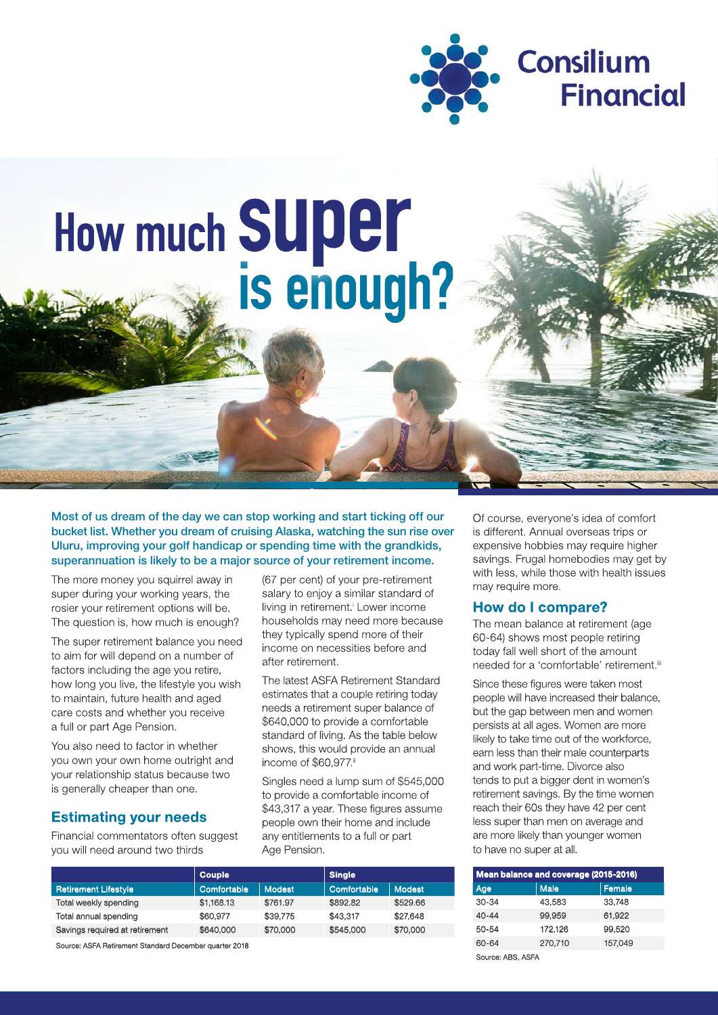

# How much SUper<br>is enough?

Most of us dream of the day we can stop working and start ticking off our bucket list. Whether you dream of cruising Alaska, watching the sun rise over Uluru, improving your golf handicap or spending time with the grandkids. superannuation is likely to be a major source of your retirement income.

The more money you squirrel away in super during your working years, the rosier your retirement options will be. The question is, how much is enough?

The super retirement balance you need to aim for will depend on a number of factors including the age you retire. how long you live, the lifestyle you wish to maintain, future health and aged care costs and whether you receive a full or part Age Pension.

You also need to factor in whether you own your own home outright and your relationship status because two is generally cheaper than one.

## **Estimating your needs**

Financial commentators often suggest vou will need around two thirds

(67 per cent) of your pre-retirement salary to enjoy a similar standard of living in retirement.<sup>i</sup> Lower income households may need more because they typically spend more of their income on necessities before and after retirement.

The latest ASFA Retirement Standard estimates that a couple retiring today needs a retirement super balance of \$640,000 to provide a comfortable standard of living. As the table below shows, this would provide an annual income of \$60.977.ii

Singles need a lump sum of \$545,000 to provide a comfortable income of \$43,317 a year. These figures assume people own their home and include any entitlements to a full or part Age Pension.

| Couple      |               | <b>Single</b> |               |
|-------------|---------------|---------------|---------------|
| Comfortable | <b>Modest</b> | Comfortable   | <b>Modest</b> |
| \$1,168.13  | \$761.97      | \$892.82      | \$529.66      |
| \$60,977    | \$39,775      | \$43,317      | \$27,648      |
| \$640,000   | \$70,000      | \$545,000     | \$70,000      |
|             |               |               |               |

Source: ASFA Retirement Standard December quarter 2018

Of course, everyone's idea of comfort is different. Annual overseas trips or expensive hobbies may require higher savings. Frugal homebodies may get by with less, while those with health issues may require more.

## How do I compare?

The mean balance at retirement (age 60-64) shows most people retiring today fall well short of the amount needed for a 'comfortable' retirement."

Since these figures were taken most people will have increased their balance. but the gap between men and women persists at all ages. Women are more likely to take time out of the workforce, earn less than their male counterparts and work part-time. Divorce also tends to put a bigger dent in women's retirement savings. By the time women reach their 60s they have 42 per cent less super than men on average and are more likely than younger women to have no super at all.

| Mean balance and coverage (2015-2016) |             |         |  |
|---------------------------------------|-------------|---------|--|
| Age                                   | <b>Male</b> | Female  |  |
| $30-34$                               | 43.583      | 33.748  |  |
| $40 - 44$                             | 99.959      | 61,922  |  |
| $50 - 54$                             | 172,126     | 99,520  |  |
| 60-64                                 | 270,710     | 157,049 |  |

Source: ABS, ASFA